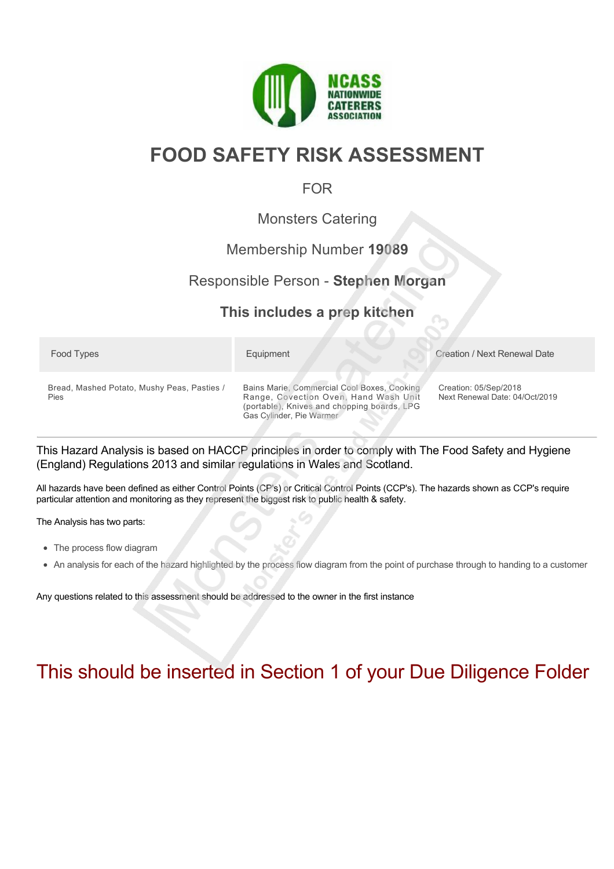

# **FOOD SAFETY RISK ASSESSMENT**

## FOR

## Monsters Catering

## Membership Number **19089**

# Responsible Person - **Stephen Morgan**

# **This includes a prep kitchen**

| Food Types                                          | Equipment                                                                                                                                                       | Creation / Next Renewal Date                            |
|-----------------------------------------------------|-----------------------------------------------------------------------------------------------------------------------------------------------------------------|---------------------------------------------------------|
| Bread, Mashed Potato, Mushy Peas, Pasties /<br>Pies | Bains Marie, Commercial Cool Boxes, Cooking<br>Range, Covection Oven, Hand Wash Unit<br>(portable), Knives and chopping boards, LPG<br>Gas Cylinder, Pie Warmer | Creation: 05/Sep/2018<br>Next Renewal Date: 04/Oct/2019 |

This Hazard Analysis is based on HACCP principles in order to comply with The Food Safety and Hygiene (England) Regulations 2013 and similar regulations in Wales and Scotland.

All hazards have been defined as either Control Points (CP's) or Critical Control Points (CCP's). The hazards shown as CCP's require particular attention and monitoring as they represent the biggest risk to public health & safety.

The Analysis has two parts:

- The process flow diagram
- An analysis for each of the hazard highlighted by the process flow diagram from the point of purchase through to handing to a customer

Any questions related to this assessment should be addressed to the owner in the first instance

# This should be inserted in Section 1 of your Due Diligence Folder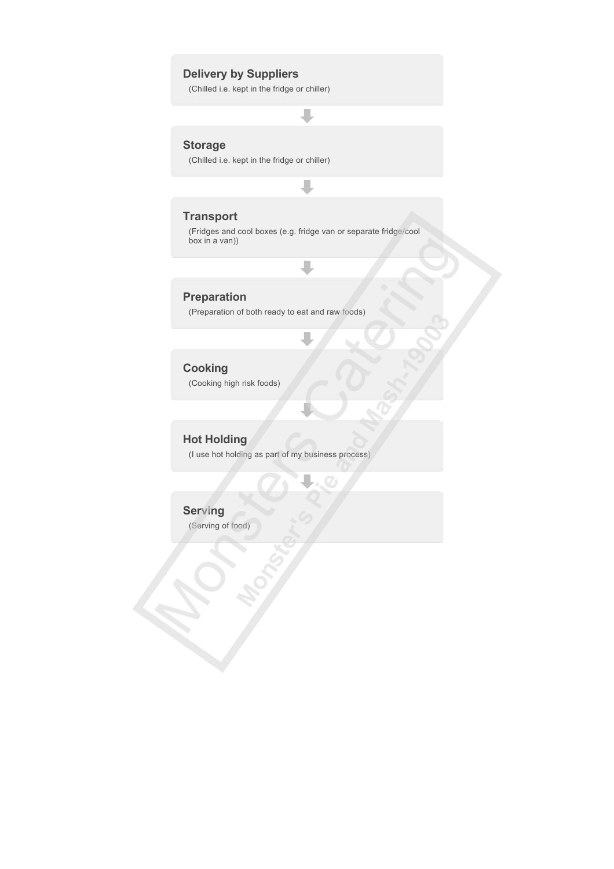### **Delivery by Suppliers**

(Chilled i.e. kept in the fridge or chiller)

### **Storage**

(Chilled i.e. kept in the fridge or chiller)

#### **Transport**

(Fridges and cool boxes (e.g. fridge van or separate fridge/cool box in a van))

J

#### **Preparation**

(Preparation of both ready to eat and raw foods)

## **Cooking**

(Cooking high risk foods)

## **Hot Holding**

(I use hot holding as part of my business process)

#### **Serving**

(Serving of food)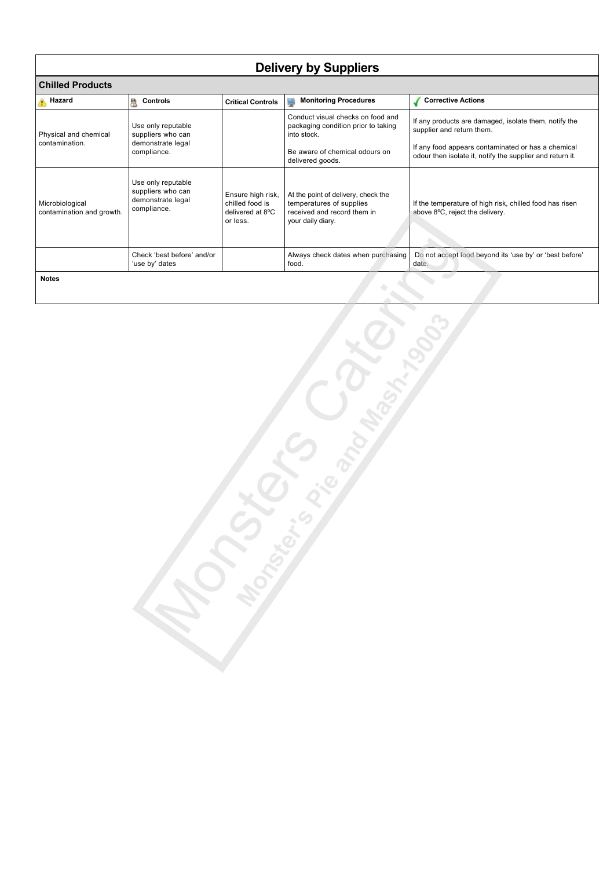| <b>Delivery by Suppliers</b>                       |                                                                             |                                                                      |                                                                                                                     |                                                                                            |  |
|----------------------------------------------------|-----------------------------------------------------------------------------|----------------------------------------------------------------------|---------------------------------------------------------------------------------------------------------------------|--------------------------------------------------------------------------------------------|--|
| <b>Chilled Products</b>                            |                                                                             |                                                                      |                                                                                                                     |                                                                                            |  |
| <b>A</b> Hazard                                    | Controls<br>R                                                               | <b>Critical Controls</b>                                             | <b>Monitoring Procedures</b><br>پ                                                                                   | <b>Corrective Actions</b>                                                                  |  |
| Physical and chemical                              | Use only reputable<br>suppliers who can                                     |                                                                      | Conduct visual checks on food and<br>packaging condition prior to taking<br>into stock.                             | If any products are damaged, isolate them, notify the<br>supplier and return them.         |  |
| demonstrate legal<br>contamination.<br>compliance. |                                                                             | Be aware of chemical odours on<br>delivered goods.                   | If any food appears contaminated or has a chemical<br>odour then isolate it, notify the supplier and return it.     |                                                                                            |  |
| Microbiological<br>contamination and growth.       | Use only reputable<br>suppliers who can<br>demonstrate legal<br>compliance. | Ensure high risk,<br>chilled food is<br>delivered at 8°C<br>or less. | At the point of delivery, check the<br>temperatures of supplies<br>received and record them in<br>your daily diary. | If the temperature of high risk, chilled food has risen<br>above 8°C, reject the delivery. |  |
|                                                    | Check 'best before' and/or<br>'use by' dates                                |                                                                      | Always check dates when purchasing<br>food.                                                                         | Do not accept food beyond its 'use by' or 'best before'<br>date.                           |  |
| <b>Notes</b>                                       |                                                                             |                                                                      |                                                                                                                     |                                                                                            |  |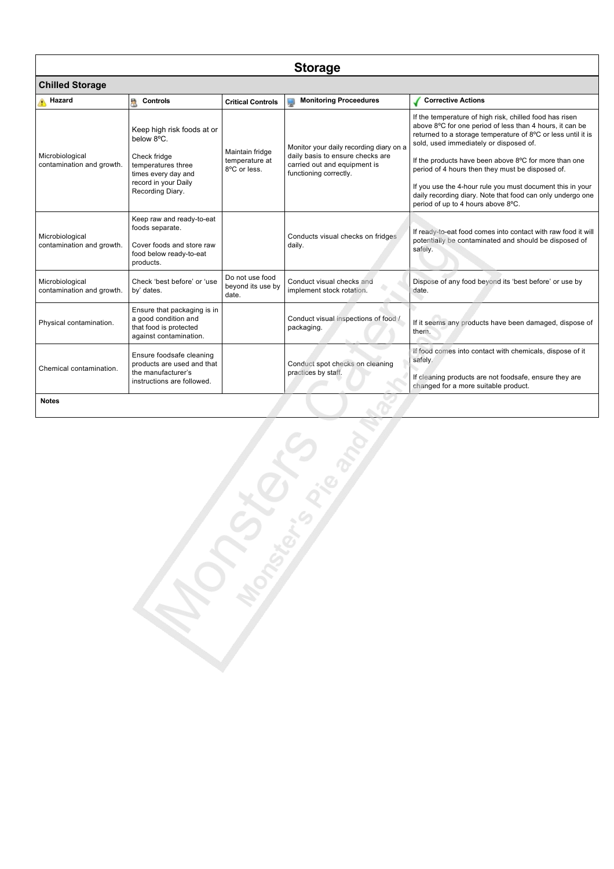| <b>Storage</b>                               |                                                                                                                                                   |                                                   |                                                                                                                                       |                                                                                                                                                                                                                                                                                                                                                                                                                                                                                                             |  |
|----------------------------------------------|---------------------------------------------------------------------------------------------------------------------------------------------------|---------------------------------------------------|---------------------------------------------------------------------------------------------------------------------------------------|-------------------------------------------------------------------------------------------------------------------------------------------------------------------------------------------------------------------------------------------------------------------------------------------------------------------------------------------------------------------------------------------------------------------------------------------------------------------------------------------------------------|--|
| <b>Chilled Storage</b>                       |                                                                                                                                                   |                                                   |                                                                                                                                       |                                                                                                                                                                                                                                                                                                                                                                                                                                                                                                             |  |
| Hazard                                       | Controls<br>a                                                                                                                                     | <b>Critical Controls</b>                          | <b>Monitoring Proceedures</b>                                                                                                         | <b>Corrective Actions</b>                                                                                                                                                                                                                                                                                                                                                                                                                                                                                   |  |
| Microbiological<br>contamination and growth. | Keep high risk foods at or<br>below 8°C.<br>Check fridge<br>temperatures three<br>times every day and<br>record in your Daily<br>Recording Diary. | Maintain fridge<br>temperature at<br>8°C or less. | Monitor your daily recording diary on a<br>daily basis to ensure checks are<br>carried out and equipment is<br>functioning correctly. | If the temperature of high risk, chilled food has risen<br>above 8°C for one period of less than 4 hours, it can be<br>returned to a storage temperature of 8°C or less until it is<br>sold, used immediately or disposed of.<br>If the products have been above 8°C for more than one<br>period of 4 hours then they must be disposed of.<br>If you use the 4-hour rule you must document this in your<br>daily recording diary. Note that food can only undergo one<br>period of up to 4 hours above 8°C. |  |
| Microbiological<br>contamination and growth. | Keep raw and ready-to-eat<br>foods separate.<br>Cover foods and store raw<br>food below ready-to-eat<br>products.                                 |                                                   | Conducts visual checks on fridges<br>daily.                                                                                           | If ready-to-eat food comes into contact with raw food it will<br>potentially be contaminated and should be disposed of<br>safely.                                                                                                                                                                                                                                                                                                                                                                           |  |
| Microbiological<br>contamination and growth. | Check 'best before' or 'use<br>by' dates.                                                                                                         | Do not use food<br>beyond its use by<br>date.     | Conduct visual checks and<br>implement stock rotation.                                                                                | Dispose of any food beyond its 'best before' or use by<br>date.                                                                                                                                                                                                                                                                                                                                                                                                                                             |  |
| Physical contamination.                      | Ensure that packaging is in<br>a good condition and<br>that food is protected<br>against contamination.                                           |                                                   | Conduct visual inspections of food /<br>packaging.                                                                                    | If it seems any products have been damaged, dispose of<br>them.                                                                                                                                                                                                                                                                                                                                                                                                                                             |  |
| Chemical contamination.                      | Ensure foodsafe cleaning<br>products are used and that<br>the manufacturer's<br>instructions are followed.                                        |                                                   | Conduct spot checks on cleaning<br>practices by staff.                                                                                | If food comes into contact with chemicals, dispose of it<br>safely.<br>If cleaning products are not foodsafe, ensure they are<br>changed for a more suitable product.                                                                                                                                                                                                                                                                                                                                       |  |
| <b>Notes</b>                                 |                                                                                                                                                   |                                                   |                                                                                                                                       |                                                                                                                                                                                                                                                                                                                                                                                                                                                                                                             |  |
| <b>Lease Range</b><br>- Legislav             |                                                                                                                                                   |                                                   |                                                                                                                                       |                                                                                                                                                                                                                                                                                                                                                                                                                                                                                                             |  |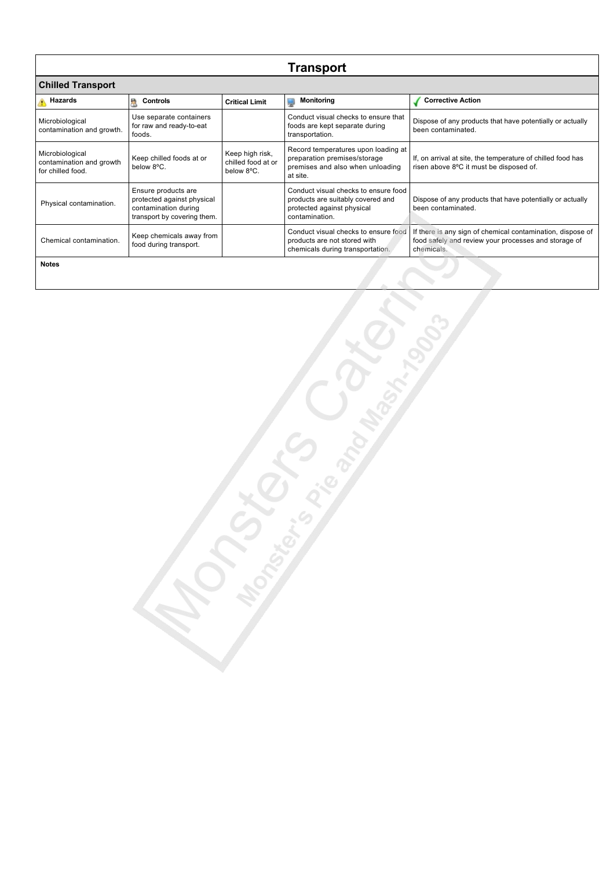| <b>Transport</b>                                                 |                                                                                                          |                                                     |                                                                                                                           |                                                                                                                                  |  |
|------------------------------------------------------------------|----------------------------------------------------------------------------------------------------------|-----------------------------------------------------|---------------------------------------------------------------------------------------------------------------------------|----------------------------------------------------------------------------------------------------------------------------------|--|
| <b>Chilled Transport</b>                                         |                                                                                                          |                                                     |                                                                                                                           |                                                                                                                                  |  |
| <b>Hazards</b>                                                   | <b>Controls</b><br>e,                                                                                    | <b>Critical Limit</b>                               | <b>Monitoring</b><br>Ų                                                                                                    | <b>Corrective Action</b>                                                                                                         |  |
| Microbiological<br>contamination and growth.                     | Use separate containers<br>for raw and ready-to-eat<br>foods.                                            |                                                     | Conduct visual checks to ensure that<br>foods are kept separate during<br>transportation.                                 | Dispose of any products that have potentially or actually<br>been contaminated.                                                  |  |
| Microbiological<br>contamination and growth<br>for chilled food. | Keep chilled foods at or<br>below 8°C.                                                                   | Keep high risk,<br>chilled food at or<br>below 8°C. | Record temperatures upon loading at<br>preparation premises/storage<br>premises and also when unloading<br>at site.       | If, on arrival at site, the temperature of chilled food has<br>risen above 8°C it must be disposed of.                           |  |
| Physical contamination.                                          | Ensure products are<br>protected against physical<br>contamination during<br>transport by covering them. |                                                     | Conduct visual checks to ensure food<br>products are suitably covered and<br>protected against physical<br>contamination. | Dispose of any products that have potentially or actually<br>been contaminated.                                                  |  |
| Chemical contamination.                                          | Keep chemicals away from<br>food during transport.                                                       |                                                     | Conduct visual checks to ensure food<br>products are not stored with<br>chemicals during transportation.                  | If there is any sign of chemical contamination, dispose of<br>food safely and review your processes and storage of<br>chemicals. |  |
| <b>Notes</b>                                                     |                                                                                                          |                                                     |                                                                                                                           |                                                                                                                                  |  |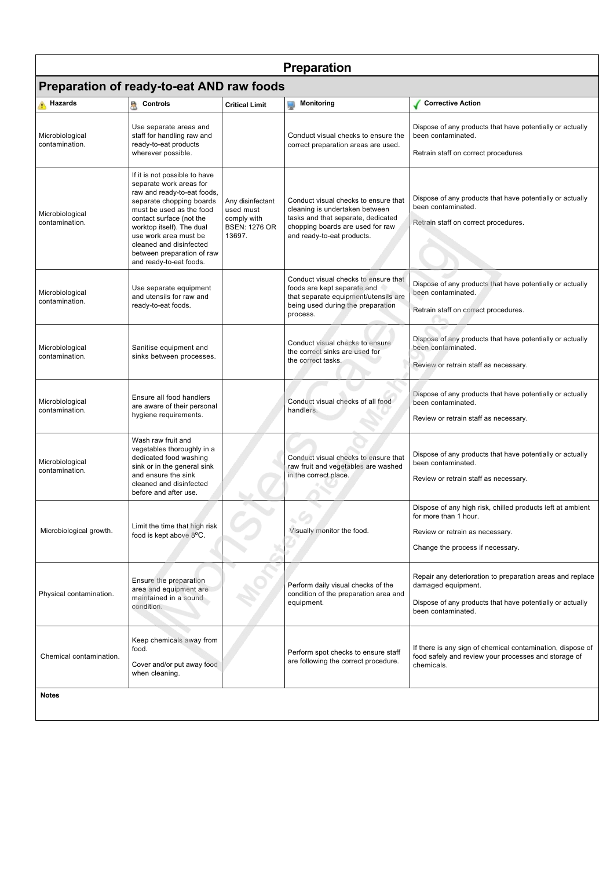| <b>Preparation</b>                        |                                                                                                                                                                                                                                                                                                                       |                                                                                |                                                                                                                                                                                |                                                                                                                                                                    |
|-------------------------------------------|-----------------------------------------------------------------------------------------------------------------------------------------------------------------------------------------------------------------------------------------------------------------------------------------------------------------------|--------------------------------------------------------------------------------|--------------------------------------------------------------------------------------------------------------------------------------------------------------------------------|--------------------------------------------------------------------------------------------------------------------------------------------------------------------|
| Preparation of ready-to-eat AND raw foods |                                                                                                                                                                                                                                                                                                                       |                                                                                |                                                                                                                                                                                |                                                                                                                                                                    |
| Hazards                                   | <b>R</b> Controls                                                                                                                                                                                                                                                                                                     | <b>Critical Limit</b>                                                          | Monitoring                                                                                                                                                                     | <b>Corrective Action</b>                                                                                                                                           |
| Microbiological<br>contamination.         | Use separate areas and<br>staff for handling raw and<br>ready-to-eat products<br>wherever possible.                                                                                                                                                                                                                   |                                                                                | Conduct visual checks to ensure the<br>correct preparation areas are used.                                                                                                     | Dispose of any products that have potentially or actually<br>been contaminated.<br>Retrain staff on correct procedures                                             |
| Microbiological<br>contamination.         | If it is not possible to have<br>separate work areas for<br>raw and ready-to-eat foods,<br>separate chopping boards<br>must be used as the food<br>contact surface (not the<br>worktop itself). The dual<br>use work area must be<br>cleaned and disinfected<br>between preparation of raw<br>and ready-to-eat foods. | Any disinfectant<br>used must<br>comply with<br><b>BSEN: 1276 OR</b><br>13697. | Conduct visual checks to ensure that<br>cleaning is undertaken between<br>tasks and that separate, dedicated<br>chopping boards are used for raw<br>and ready-to-eat products. | Dispose of any products that have potentially or actually<br>been contaminated.<br>Retrain staff on correct procedures.                                            |
| Microbiological<br>contamination.         | Use separate equipment<br>and utensils for raw and<br>ready-to-eat foods.                                                                                                                                                                                                                                             |                                                                                | Conduct visual checks to ensure that<br>foods are kept separate and<br>that separate equipment/utensils are<br>being used during the preparation<br>process.                   | Dispose of any products that have potentially or actually<br>been contaminated.<br>Retrain staff on correct procedures.                                            |
| Microbiological<br>contamination.         | Sanitise equipment and<br>sinks between processes.                                                                                                                                                                                                                                                                    |                                                                                | Conduct visual checks to ensure<br>the correct sinks are used for<br>the correct tasks.                                                                                        | Dispose of any products that have potentially or actually<br>been contaminated.<br>Review or retrain staff as necessary.                                           |
| Microbiological<br>contamination.         | Ensure all food handlers<br>are aware of their personal<br>hygiene requirements.                                                                                                                                                                                                                                      |                                                                                | Conduct visual checks of all food<br>handlers.                                                                                                                                 | Dispose of any products that have potentially or actually<br>been contaminated.<br>Review or retrain staff as necessary.                                           |
| Microbiological<br>contamination.         | Wash raw fruit and<br>vegetables thoroughly in a<br>dedicated food washing<br>sink or in the general sink<br>and ensure the sink<br>cleaned and disinfected<br>before and after use.                                                                                                                                  |                                                                                | Conduct visual checks to ensure that<br>raw fruit and vegetables are washed<br>in the correct place.                                                                           | Dispose of any products that have potentially or actually<br>been contaminated.<br>Review or retrain staff as necessary.                                           |
| Microbiological growth.                   | Limit the time that high risk<br>food is kept above 8°C.                                                                                                                                                                                                                                                              |                                                                                | Visually monitor the food.                                                                                                                                                     | Dispose of any high risk, chilled products left at ambient<br>for more than 1 hour.<br>Review or retrain as necessary.<br>Change the process if necessary.         |
| Physical contamination.                   | Ensure the preparation<br>area and equipment are<br>maintained in a sound<br>condition.                                                                                                                                                                                                                               |                                                                                | Perform daily visual checks of the<br>condition of the preparation area and<br>equipment.                                                                                      | Repair any deterioration to preparation areas and replace<br>damaged equipment.<br>Dispose of any products that have potentially or actually<br>been contaminated. |
| Chemical contamination.                   | Keep chemicals away from<br>food.<br>Cover and/or put away food<br>when cleaning.                                                                                                                                                                                                                                     |                                                                                | Perform spot checks to ensure staff<br>are following the correct procedure.                                                                                                    | If there is any sign of chemical contamination, dispose of<br>food safely and review your processes and storage of<br>chemicals.                                   |
| <b>Notes</b>                              |                                                                                                                                                                                                                                                                                                                       |                                                                                |                                                                                                                                                                                |                                                                                                                                                                    |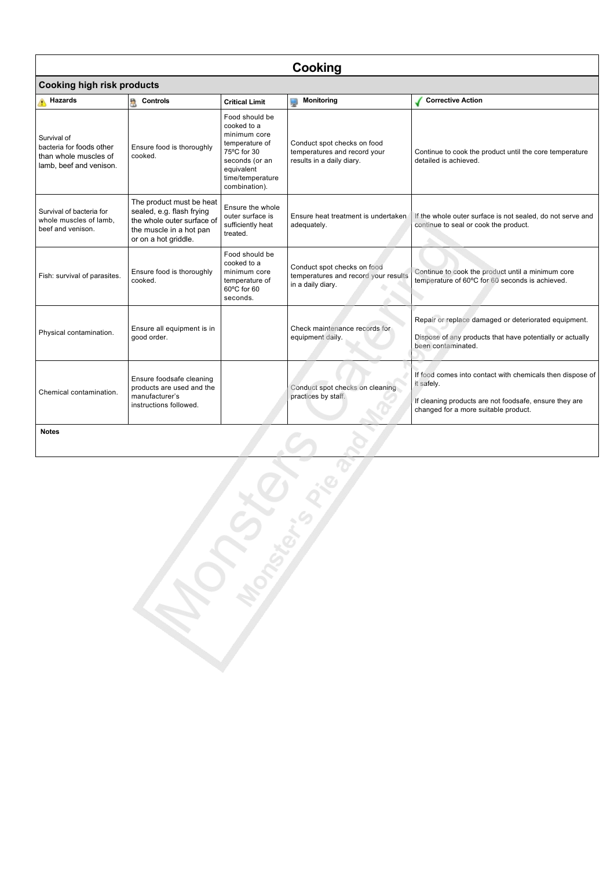| Cooking                                                                                     |                                                                                                                                        |                                                                                                                                                     |                                                                                          |                                                                                                                                                                           |  |
|---------------------------------------------------------------------------------------------|----------------------------------------------------------------------------------------------------------------------------------------|-----------------------------------------------------------------------------------------------------------------------------------------------------|------------------------------------------------------------------------------------------|---------------------------------------------------------------------------------------------------------------------------------------------------------------------------|--|
|                                                                                             | <b>Cooking high risk products</b>                                                                                                      |                                                                                                                                                     |                                                                                          |                                                                                                                                                                           |  |
| Hazards                                                                                     | A<br><b>Controls</b>                                                                                                                   | <b>Critical Limit</b>                                                                                                                               | <b>Monitoring</b><br>پ                                                                   | <b>Corrective Action</b>                                                                                                                                                  |  |
| Survival of<br>bacteria for foods other<br>than whole muscles of<br>lamb, beef and venison. | Ensure food is thoroughly<br>cooked.                                                                                                   | Food should be<br>cooked to a<br>minimum core<br>temperature of<br>75°C for 30<br>seconds (or an<br>equivalent<br>time/temperature<br>combination). | Conduct spot checks on food<br>temperatures and record your<br>results in a daily diary. | Continue to cook the product until the core temperature<br>detailed is achieved.                                                                                          |  |
| Survival of bacteria for<br>whole muscles of lamb,<br>beef and venison.                     | The product must be heat<br>sealed, e.g. flash frying<br>the whole outer surface of<br>the muscle in a hot pan<br>or on a hot griddle. | Ensure the whole<br>outer surface is<br>sufficiently heat<br>treated.                                                                               | Ensure heat treatment is undertaken<br>adequately.                                       | If the whole outer surface is not sealed, do not serve and<br>continue to seal or cook the product.                                                                       |  |
| Fish: survival of parasites.                                                                | Ensure food is thoroughly<br>cooked.                                                                                                   | Food should be<br>cooked to a<br>minimum core<br>temperature of<br>60°C for 60<br>seconds.                                                          | Conduct spot checks on food<br>temperatures and record your results<br>in a daily diary. | Continue to cook the product until a minimum core<br>temperature of 60°C for 60 seconds is achieved.                                                                      |  |
| Physical contamination.                                                                     | Ensure all equipment is in<br>good order.                                                                                              |                                                                                                                                                     | Check maintenance records for<br>equipment daily.                                        | Repair or replace damaged or deteriorated equipment.<br>Dispose of any products that have potentially or actually<br>been contaminated.                                   |  |
| Chemical contamination.                                                                     | Ensure foodsafe cleaning<br>products are used and the<br>manufacturer's<br>instructions followed.                                      |                                                                                                                                                     | Conduct spot checks on cleaning<br>practices by staff.                                   | If food comes into contact with chemicals then dispose of<br>it safely.<br>If cleaning products are not foodsafe, ensure they are<br>changed for a more suitable product. |  |
| <b>Notes</b>                                                                                |                                                                                                                                        |                                                                                                                                                     |                                                                                          |                                                                                                                                                                           |  |
| JASKERKE                                                                                    |                                                                                                                                        |                                                                                                                                                     |                                                                                          |                                                                                                                                                                           |  |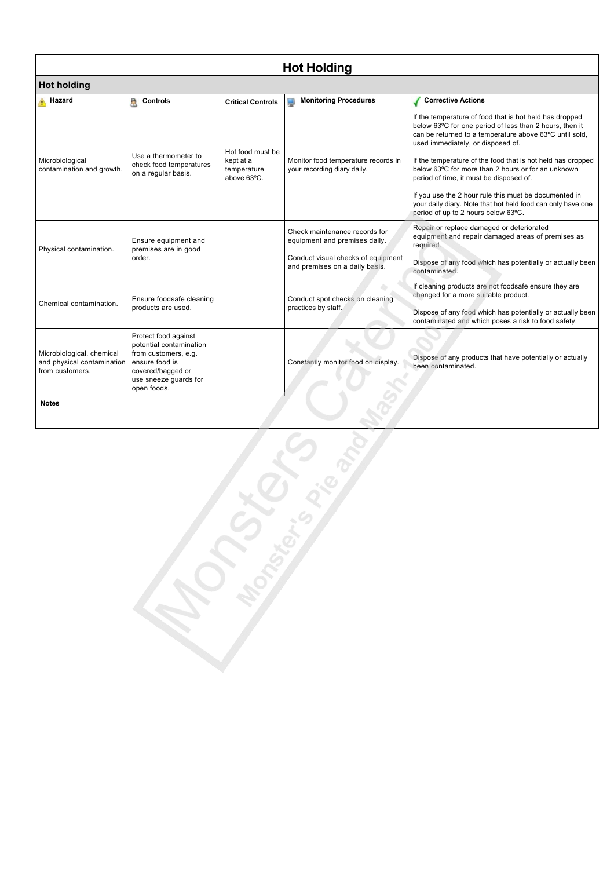| <b>Hot Holding</b><br><b>Hot holding</b>                                   |                                                                                                                                                        |                                                             |                                                                                                                                        |                                                                                                                                                                                                                                                                                                                                                                                                                                                                                                                                                   |
|----------------------------------------------------------------------------|--------------------------------------------------------------------------------------------------------------------------------------------------------|-------------------------------------------------------------|----------------------------------------------------------------------------------------------------------------------------------------|---------------------------------------------------------------------------------------------------------------------------------------------------------------------------------------------------------------------------------------------------------------------------------------------------------------------------------------------------------------------------------------------------------------------------------------------------------------------------------------------------------------------------------------------------|
|                                                                            |                                                                                                                                                        |                                                             |                                                                                                                                        |                                                                                                                                                                                                                                                                                                                                                                                                                                                                                                                                                   |
| Microbiological<br>contamination and growth.                               | Use a thermometer to<br>check food temperatures<br>on a regular basis.                                                                                 | Hot food must be<br>kept at a<br>temperature<br>above 63°C. | Monitor food temperature records in<br>your recording diary daily.                                                                     | If the temperature of food that is hot held has dropped<br>below 63°C for one period of less than 2 hours, then it<br>can be returned to a temperature above 63°C until sold,<br>used immediately, or disposed of.<br>If the temperature of the food that is hot held has dropped<br>below 63°C for more than 2 hours or for an unknown<br>period of time, it must be disposed of.<br>If you use the 2 hour rule this must be documented in<br>your daily diary. Note that hot held food can only have one<br>period of up to 2 hours below 63°C. |
| Physical contamination.                                                    | Ensure equipment and<br>premises are in good<br>order.                                                                                                 |                                                             | Check maintenance records for<br>equipment and premises daily.<br>Conduct visual checks of equipment<br>and premises on a daily basis. | Repair or replace damaged or deteriorated<br>equipment and repair damaged areas of premises as<br>required.<br>Dispose of any food which has potentially or actually been<br>contaminated.                                                                                                                                                                                                                                                                                                                                                        |
| Chemical contamination.                                                    | Ensure foodsafe cleaning<br>products are used.                                                                                                         |                                                             | Conduct spot checks on cleaning<br>practices by staff.                                                                                 | If cleaning products are not foodsafe ensure they are<br>changed for a more suitable product.<br>Dispose of any food which has potentially or actually been<br>contaminated and which poses a risk to food safety.                                                                                                                                                                                                                                                                                                                                |
| Microbiological, chemical<br>and physical contamination<br>from customers. | Protect food against<br>potential contamination<br>from customers, e.g.<br>ensure food is<br>covered/bagged or<br>use sneeze guards for<br>open foods. |                                                             | Constantly monitor food on display.                                                                                                    | Dispose of any products that have potentially or actually<br>been contaminated.                                                                                                                                                                                                                                                                                                                                                                                                                                                                   |
| <b>Notes</b>                                                               |                                                                                                                                                        |                                                             |                                                                                                                                        |                                                                                                                                                                                                                                                                                                                                                                                                                                                                                                                                                   |
|                                                                            |                                                                                                                                                        | JAPEANS                                                     | $\sum_{i=1}^{n} a_i$                                                                                                                   |                                                                                                                                                                                                                                                                                                                                                                                                                                                                                                                                                   |